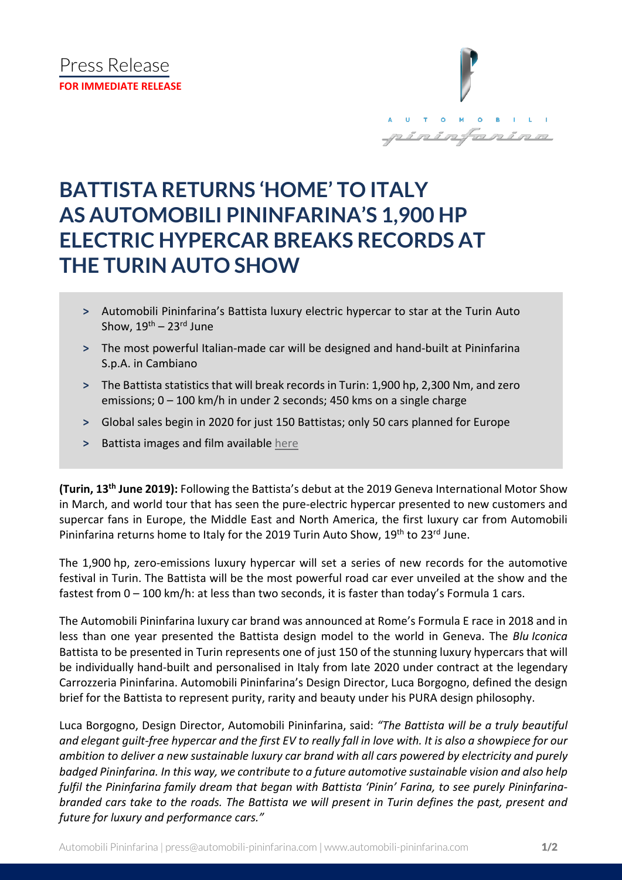

## **BATTISTA RETURNS 'HOME' TO ITALY AS AUTOMOBILI PININFARINA'S 1,900 HP ELECTRIC HYPERCAR BREAKS RECORDS AT THE TURIN AUTO SHOW**

- **˃** Automobili Pininfarina's Battista luxury electric hypercar to star at the Turin Auto Show,  $19^{th}$  –  $23^{rd}$  June
- **˃** The most powerful Italian-made car will be designed and hand-built at Pininfarina S.p.A. in Cambiano
- > The Battista statistics that will break records in Turin: 1,900 hp, 2,300 Nm, and zero emissions; 0 – 100 km/h in under 2 seconds; 450 kms on a single charge
- **˃** Global sales begin in 2020 for just 150 Battistas; only 50 cars planned for Europe
- **˃** Battista images and film available [here](https://bit.ly/2XLFzd3)

**(Turin, 13th June 2019):** Following the Battista's debut at the 2019 Geneva International Motor Show in March, and world tour that has seen the pure-electric hypercar presented to new customers and supercar fans in Europe, the Middle East and North America, the first luxury car from Automobili Pininfarina returns home to Italy for the 2019 Turin Auto Show, 19<sup>th</sup> to 23<sup>rd</sup> June.

The 1,900 hp, zero-emissions luxury hypercar will set a series of new records for the automotive festival in Turin. The Battista will be the most powerful road car ever unveiled at the show and the fastest from 0 – 100 km/h: at less than two seconds, it is faster than today's Formula 1 cars.

The Automobili Pininfarina luxury car brand was announced at Rome's Formula E race in 2018 and in less than one year presented the Battista design model to the world in Geneva. The *Blu Iconica*  Battista to be presented in Turin represents one of just 150 of the stunning luxury hypercars that will be individually hand-built and personalised in Italy from late 2020 under contract at the legendary Carrozzeria Pininfarina. Automobili Pininfarina's Design Director, Luca Borgogno, defined the design brief for the Battista to represent purity, rarity and beauty under his PURA design philosophy.

Luca Borgogno, Design Director, Automobili Pininfarina, said: *"The Battista will be a truly beautiful and elegant guilt-free hypercar and the first EV to really fall in love with. It is also a showpiece for our ambition to deliver a new sustainable luxury car brand with all cars powered by electricity and purely badged Pininfarina. In this way, we contribute to a future automotive sustainable vision and also help fulfil the Pininfarina family dream that began with Battista 'Pinin' Farina, to see purely Pininfarinabranded cars take to the roads. The Battista we will present in Turin defines the past, present and future for luxury and performance cars."*